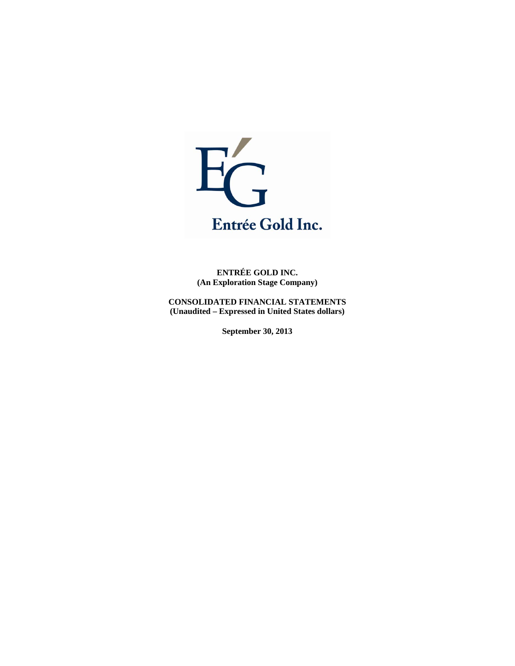

**ENTRÉE GOLD INC. (An Exploration Stage Company)** 

**CONSOLIDATED FINANCIAL STATEMENTS (Unaudited – Expressed in United States dollars)** 

**September 30, 2013**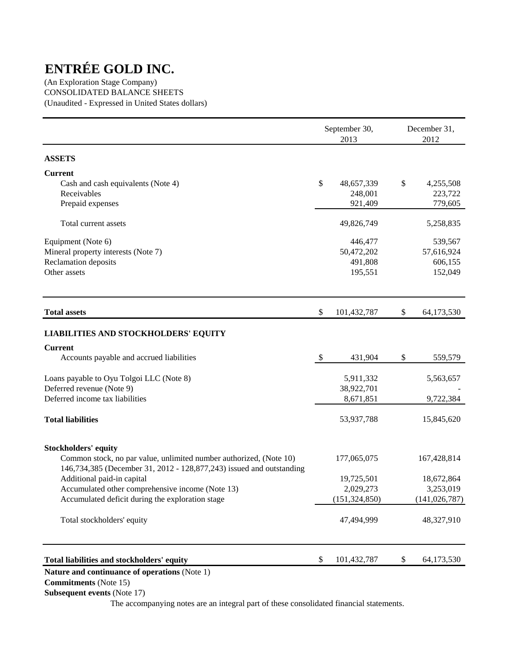(An Exploration Stage Company) CONSOLIDATED BALANCE SHEETS (Unaudited - Expressed in United States dollars)

|                                                                                                                                            |               | September 30,<br>2013 | December 31,<br>2012 |
|--------------------------------------------------------------------------------------------------------------------------------------------|---------------|-----------------------|----------------------|
| <b>ASSETS</b>                                                                                                                              |               |                       |                      |
| <b>Current</b>                                                                                                                             |               |                       |                      |
| Cash and cash equivalents (Note 4)                                                                                                         | \$            | 48,657,339            | \$<br>4,255,508      |
| Receivables                                                                                                                                |               | 248,001               | 223,722              |
| Prepaid expenses                                                                                                                           |               | 921,409               | 779,605              |
| Total current assets                                                                                                                       |               | 49,826,749            | 5,258,835            |
| Equipment (Note 6)                                                                                                                         |               | 446,477               | 539,567              |
| Mineral property interests (Note 7)                                                                                                        |               | 50,472,202            | 57,616,924           |
| Reclamation deposits                                                                                                                       |               | 491,808               | 606,155              |
| Other assets                                                                                                                               |               | 195,551               | 152,049              |
| <b>Total assets</b>                                                                                                                        | \$            | 101,432,787           | \$<br>64,173,530     |
| <b>LIABILITIES AND STOCKHOLDERS' EQUITY</b>                                                                                                |               |                       |                      |
| <b>Current</b>                                                                                                                             |               |                       |                      |
| Accounts payable and accrued liabilities                                                                                                   | $\mathcal{S}$ | 431,904               | \$<br>559,579        |
| Loans payable to Oyu Tolgoi LLC (Note 8)                                                                                                   |               | 5,911,332             | 5,563,657            |
| Deferred revenue (Note 9)                                                                                                                  |               | 38,922,701            |                      |
| Deferred income tax liabilities                                                                                                            |               | 8,671,851             | 9,722,384            |
| <b>Total liabilities</b>                                                                                                                   |               | 53,937,788            | 15,845,620           |
| <b>Stockholders' equity</b>                                                                                                                |               |                       |                      |
| Common stock, no par value, unlimited number authorized, (Note 10)<br>146,734,385 (December 31, 2012 - 128,877,243) issued and outstanding |               | 177,065,075           | 167,428,814          |
| Additional paid-in capital                                                                                                                 |               | 19,725,501            | 18,672,864           |
| Accumulated other comprehensive income (Note 13)                                                                                           |               | 2,029,273             | 3,253,019            |
| Accumulated deficit during the exploration stage                                                                                           |               | (151, 324, 850)       | (141, 026, 787)      |
| Total stockholders' equity                                                                                                                 |               | 47,494,999            | 48,327,910           |
| Total liabilities and stockholders' equity                                                                                                 | \$            | 101,432,787           | \$<br>64,173,530     |

## **Nature and continuance of operations** (Note 1)

 **Commitments** (Note 15)

 **Subsequent events** (Note 17)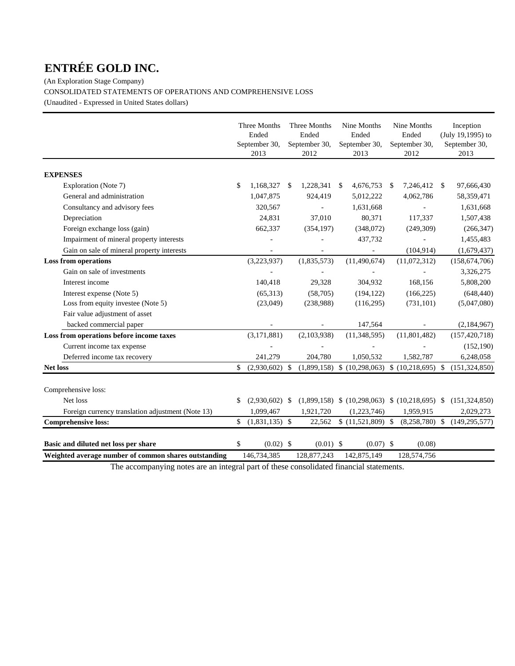(An Exploration Stage Company)

CONSOLIDATED STATEMENTS OF OPERATIONS AND COMPREHENSIVE LOSS

(Unaudited - Expressed in United States dollars)

|                                                      | Three Months<br>Ended<br>September 30,<br>2013 |    | Three Months<br>Ended<br>September 30,<br>2012 |   | Nine Months<br>Ended<br>September 30,<br>2013        |    | Nine Months<br>Ended<br>September 30,<br>2012 | Inception<br>(July 19,1995) to<br>September 30,<br>2013 |
|------------------------------------------------------|------------------------------------------------|----|------------------------------------------------|---|------------------------------------------------------|----|-----------------------------------------------|---------------------------------------------------------|
| <b>EXPENSES</b>                                      |                                                |    |                                                |   |                                                      |    |                                               |                                                         |
| Exploration (Note 7)                                 | \$<br>1,168,327                                | -S | 1,228,341                                      | S | 4,676,753                                            | -S | 7,246,412 \$                                  | 97,666,430                                              |
| General and administration                           | 1,047,875                                      |    | 924,419                                        |   | 5,012,222                                            |    | 4,062,786                                     | 58,359,471                                              |
| Consultancy and advisory fees                        | 320,567                                        |    |                                                |   | 1,631,668                                            |    |                                               | 1,631,668                                               |
| Depreciation                                         | 24,831                                         |    | 37,010                                         |   | 80,371                                               |    | 117,337                                       | 1,507,438                                               |
| Foreign exchange loss (gain)                         | 662,337                                        |    | (354, 197)                                     |   | (348,072)                                            |    | (249, 309)                                    | (266, 347)                                              |
| Impairment of mineral property interests             |                                                |    |                                                |   | 437,732                                              |    | ÷,                                            | 1,455,483                                               |
| Gain on sale of mineral property interests           |                                                |    |                                                |   |                                                      |    | (104, 914)                                    | (1,679,437)                                             |
| <b>Loss from operations</b>                          | (3,223,937)                                    |    | (1,835,573)                                    |   | (11, 490, 674)                                       |    | (11,072,312)                                  | (158, 674, 706)                                         |
| Gain on sale of investments                          |                                                |    |                                                |   |                                                      |    |                                               | 3,326,275                                               |
| Interest income                                      | 140,418                                        |    | 29,328                                         |   | 304,932                                              |    | 168,156                                       | 5,808,200                                               |
| Interest expense (Note 5)                            | (65,313)                                       |    | (58,705)                                       |   | (194, 122)                                           |    | (166, 225)                                    | (648, 440)                                              |
| Loss from equity investee (Note 5)                   | (23,049)                                       |    | (238,988)                                      |   | (116,295)                                            |    | (731, 101)                                    | (5,047,080)                                             |
| Fair value adjustment of asset                       |                                                |    |                                                |   |                                                      |    |                                               |                                                         |
| backed commercial paper                              |                                                |    |                                                |   | 147,564                                              |    |                                               | (2,184,967)                                             |
| Loss from operations before income taxes             | (3, 171, 881)                                  |    | (2,103,938)                                    |   | (11, 348, 595)                                       |    | (11,801,482)                                  | (157, 420, 718)                                         |
| Current income tax expense                           |                                                |    |                                                |   |                                                      |    |                                               | (152, 190)                                              |
| Deferred income tax recovery                         | 241,279                                        |    | 204,780                                        |   | 1,050,532                                            |    | 1,582,787                                     | 6,248,058                                               |
| <b>Net loss</b>                                      | \$<br>$(2,930,602)$ \$                         |    | (1,899,158)                                    |   | $(10,298,063)$ \$ $(10,218,695)$ \$                  |    |                                               | (151, 324, 850)                                         |
| Comprehensive loss:                                  |                                                |    |                                                |   |                                                      |    |                                               |                                                         |
| Net loss                                             | \$<br>$(2,930,602)$ \$                         |    |                                                |   | $(1,899,158)$ \$ $(10,298,063)$ \$ $(10,218,695)$ \$ |    |                                               | (151, 324, 850)                                         |
| Foreign currency translation adjustment (Note 13)    | 1,099,467                                      |    | 1,921,720                                      |   | (1,223,746)                                          |    | 1,959,915                                     | 2,029,273                                               |
| <b>Comprehensive loss:</b>                           | \$<br>$(1,831,135)$ \$                         |    | 22,562                                         |   | $$(11,521,809)$ \\$                                  |    | $(8,258,780)$ \$                              | (149, 295, 577)                                         |
| Basic and diluted net loss per share                 | \$<br>$(0.02)$ \$                              |    | $(0.01)$ \$                                    |   | $(0.07)$ \$                                          |    | (0.08)                                        |                                                         |
| Weighted average number of common shares outstanding | 146,734,385                                    |    | 128,877,243                                    |   | 142,875,149                                          |    | 128,574,756                                   |                                                         |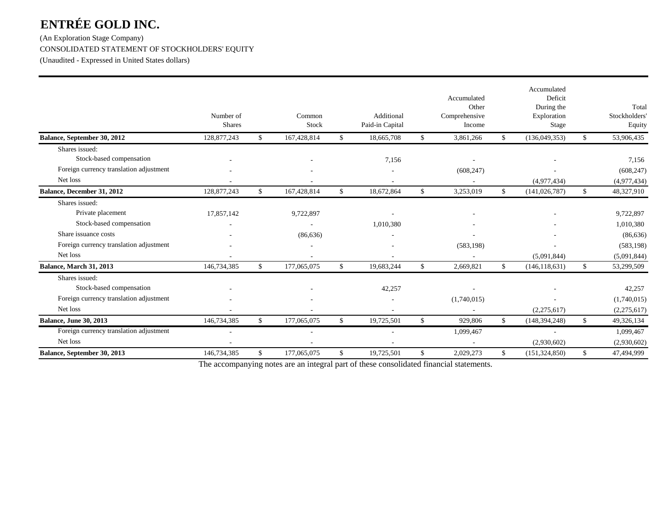(An Exploration Stage Company) CONSOLIDATED STATEMENT OF STOCKHOLDERS' EQUITY (Unaudited - Expressed in United States dollars)

|                                         | Number of<br><b>Shares</b> |              | Common<br>Stock |              | Additional<br>Paid-in Capital |                | Accumulated<br>Other<br>Comprehensive<br>Income |              | Accumulated<br>Deficit<br>During the<br>Exploration<br>Stage | Total<br>Stockholders'<br>Equity |
|-----------------------------------------|----------------------------|--------------|-----------------|--------------|-------------------------------|----------------|-------------------------------------------------|--------------|--------------------------------------------------------------|----------------------------------|
| Balance, September 30, 2012             | 128,877,243                | \$           | 167,428,814     | \$           | 18,665,708                    | $\mathbb{S}^-$ | 3,861,266                                       | $\mathbb{S}$ | (136,049,353)                                                | \$<br>53,906,435                 |
| Shares issued:                          |                            |              |                 |              |                               |                |                                                 |              |                                                              |                                  |
| Stock-based compensation                |                            |              |                 |              | 7,156                         |                |                                                 |              |                                                              | 7,156                            |
| Foreign currency translation adjustment |                            |              |                 |              |                               |                | (608, 247)                                      |              |                                                              | (608, 247)                       |
| Net loss                                |                            |              |                 |              |                               |                |                                                 |              | (4,977,434)                                                  | (4,977,434)                      |
| Balance, December 31, 2012              | 128,877,243                | \$           | 167,428,814     | \$           | 18,672,864                    | \$             | 3,253,019                                       | $\mathbb{S}$ | (141, 026, 787)                                              | \$<br>48,327,910                 |
| Shares issued:                          |                            |              |                 |              |                               |                |                                                 |              |                                                              |                                  |
| Private placement                       | 17,857,142                 |              | 9,722,897       |              |                               |                |                                                 |              |                                                              | 9,722,897                        |
| Stock-based compensation                |                            |              |                 |              | 1,010,380                     |                |                                                 |              |                                                              | 1,010,380                        |
| Share issuance costs                    |                            |              | (86, 636)       |              |                               |                |                                                 |              |                                                              | (86, 636)                        |
| Foreign currency translation adjustment |                            |              |                 |              |                               |                | (583, 198)                                      |              |                                                              | (583, 198)                       |
| Net loss                                |                            |              |                 |              |                               |                |                                                 |              | (5,091,844)                                                  | (5,091,844)                      |
| <b>Balance, March 31, 2013</b>          | 146,734,385                | $\mathbb{S}$ | 177,065,075     | $\mathbb{S}$ | 19,683,244                    | \$             | 2,669,821                                       | $\mathbb{S}$ | (146, 118, 631)                                              | \$<br>53,299,509                 |
| Shares issued:                          |                            |              |                 |              |                               |                |                                                 |              |                                                              |                                  |
| Stock-based compensation                |                            |              |                 |              | 42,257                        |                |                                                 |              |                                                              | 42,257                           |
| Foreign currency translation adjustment |                            |              |                 |              |                               |                | (1,740,015)                                     |              |                                                              | (1,740,015)                      |
| Net loss                                |                            |              |                 |              |                               |                |                                                 |              | (2,275,617)                                                  | (2,275,617)                      |
| <b>Balance, June 30, 2013</b>           | 146,734,385                | \$.          | 177,065,075     | \$           | 19,725,501                    | \$.            | 929,806                                         | \$.          | (148, 394, 248)                                              | \$<br>49,326,134                 |
| Foreign currency translation adjustment |                            |              |                 |              |                               |                | 1,099,467                                       |              | ÷.                                                           | 1,099,467                        |
| Net loss                                |                            |              |                 |              |                               |                |                                                 |              | (2,930,602)                                                  | (2,930,602)                      |
| Balance, September 30, 2013             | 146,734,385                | \$           | 177,065,075     | \$           | 19,725,501                    | \$             | 2,029,273                                       | $\mathbb{S}$ | (151, 324, 850)                                              | \$<br>47,494,999                 |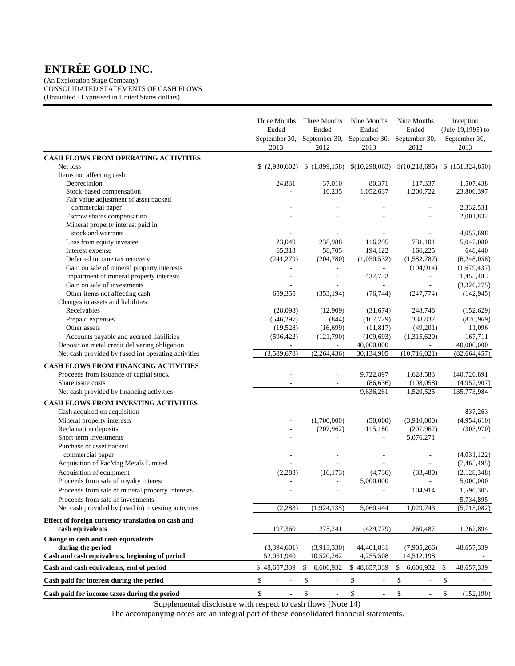(An Exploration Stage Company) CONSOLIDATED STATEMENTS OF CASH FLOWS (Unaudited - Expressed in United States dollars)

|                                                     | Three Months<br>Ended<br>September 30,<br>2013 | Three Months<br>Ended<br>2012  | Nine Months<br>Ended<br>September 30, September 30,<br>2013 | Nine Months<br>Ended<br>September 30,<br>2012 | Inception<br>(July 19,1995) to<br>September 30,<br>2013 |
|-----------------------------------------------------|------------------------------------------------|--------------------------------|-------------------------------------------------------------|-----------------------------------------------|---------------------------------------------------------|
| CASH FLOWS FROM OPERATING ACTIVITIES                |                                                |                                |                                                             |                                               |                                                         |
| Net loss                                            | (2,930,602)                                    | (1,899,158)                    | \$(10,298,063)                                              |                                               | $$(10,218,695) \$ (151,324,850)$                        |
| Items not affecting cash:                           |                                                |                                |                                                             |                                               |                                                         |
| Depreciation                                        | 24,831                                         | 37,010                         | 80,371                                                      | 117,337                                       | 1,507,438                                               |
| Stock-based compensation                            |                                                | 10,235                         | 1,052,637                                                   | 1,200,722                                     | 23,806,397                                              |
| Fair value adjustment of asset backed               |                                                |                                |                                                             |                                               |                                                         |
| commercial paper<br>Escrow shares compensation      |                                                |                                |                                                             | $\overline{\phantom{a}}$                      | 2,332,531<br>2,001,832                                  |
| Mineral property interest paid in                   |                                                |                                |                                                             |                                               |                                                         |
| stock and warrants                                  |                                                |                                |                                                             |                                               | 4,052,698                                               |
| Loss from equity investee                           | 23,049                                         | 238,988                        | 116,295                                                     | 731,101                                       | 5,047,080                                               |
| Interest expense                                    | 65,313                                         | 58,705                         | 194,122                                                     | 166,225                                       | 648,440                                                 |
| Deferred income tax recovery                        | (241, 279)                                     | (204,780)                      | (1,050,532)                                                 | (1,582,787)                                   | (6,248,058)                                             |
| Gain on sale of mineral property interests          | ÷,                                             | $\overline{\phantom{a}}$       | $\overline{\phantom{a}}$                                    | (104, 914)                                    | (1,679,437)                                             |
| Impairment of mineral property interests            |                                                | ÷,                             | 437,732                                                     | $\overline{\phantom{a}}$                      | 1,455,483                                               |
| Gain on sale of investments                         |                                                |                                |                                                             |                                               | (3,326,275)                                             |
| Other items not affecting cash                      | 659,355                                        | (353, 194)                     | (76, 744)                                                   | (247,774)                                     | (142, 945)                                              |
| Changes in assets and liabilities:                  |                                                |                                |                                                             |                                               |                                                         |
| Receivables                                         | (28,098)                                       | (12,909)                       | (31,674)                                                    | 248,748                                       | (152, 629)                                              |
| Prepaid expenses                                    | (546, 297)                                     | (844)                          | (167, 729)                                                  | 338,837                                       | (820,969)                                               |
| Other assets                                        | (19,528)                                       | (16,699)                       | (11, 817)                                                   | (49,201)                                      | 11,096                                                  |
| Accounts payable and accrued liabilities            | (596, 422)                                     | (121,790)                      | (109, 693)                                                  | (1,315,620)                                   | 167,711                                                 |
| Deposit on metal credit delivering obligation       |                                                | $\sim$                         | 40,000,000                                                  |                                               | 40,000,000                                              |
| Net cash provided by (used in) operating activities | (3,589,678)                                    | (2, 264, 436)                  | 30,134,905                                                  | (10,716,021)                                  | (82, 664, 457)                                          |
|                                                     |                                                |                                |                                                             |                                               |                                                         |
| <b>CASH FLOWS FROM FINANCING ACTIVITIES</b>         |                                                |                                |                                                             |                                               |                                                         |
| Proceeds from issuance of capital stock             |                                                | ÷.                             | 9,722,897                                                   | 1,628,583                                     | 140,726,891                                             |
| Share issue costs                                   |                                                |                                | (86, 636)<br>9,636,261                                      | (108, 058)<br>1,520,525                       | (4,952,907)<br>135,773,984                              |
| Net cash provided by financing activities           |                                                |                                |                                                             |                                               |                                                         |
| <b>CASH FLOWS FROM INVESTING ACTIVITIES</b>         |                                                |                                |                                                             |                                               |                                                         |
| Cash acquired on acquisition                        |                                                |                                |                                                             |                                               | 837,263                                                 |
| Mineral property interests                          |                                                | (1,700,000)                    | (50,000)                                                    | (3,910,000)                                   | (4,954,610)                                             |
| Reclamation deposits                                |                                                | (207,962)                      | 115,180                                                     | (207, 962)                                    | (303,970)                                               |
| Short-term investments                              |                                                | $\overline{\phantom{a}}$       |                                                             | 5,076,271                                     |                                                         |
| Purchase of asset backed                            |                                                |                                |                                                             |                                               |                                                         |
| commercial paper                                    |                                                |                                |                                                             |                                               | (4,031,122)                                             |
| Acquisition of PacMag Metals Limited                |                                                |                                |                                                             |                                               | (7,465,495)                                             |
| Acquisition of equipment                            | (2,283)                                        | (16, 173)                      | (4,736)                                                     | (33, 480)                                     | (2,128,348)                                             |
| Proceeds from sale of royalty interest              |                                                | $\sim$                         | 5,000,000                                                   | $\overline{\phantom{a}}$                      | 5,000,000                                               |
| Proceeds from sale of mineral property interests    |                                                |                                | $\sim$                                                      | 104,914                                       | 1,596,305                                               |
| Proceeds from sale of investments                   | $\overline{\phantom{a}}$                       |                                |                                                             |                                               | 5,734,895                                               |
| Net cash provided by (used in) investing activities | (2, 283)                                       | (1,924,135)                    | 5,060,444                                                   | 1,029,743                                     | (5,715,082)                                             |
| Effect of foreign currency translation on cash and  |                                                |                                |                                                             |                                               |                                                         |
| cash equivalents                                    | 197,360                                        | 275,241                        | (429,779)                                                   | 260,487                                       | 1,262,894                                               |
| Change in cash and cash equivalents                 |                                                |                                |                                                             |                                               |                                                         |
| during the period                                   | (3,394,601)                                    | (3,913,330)                    | 44,401,831                                                  | (7,905,266)                                   | 48,657,339                                              |
| Cash and cash equivalents, beginning of period      | 52,051,940                                     | 10,520,262                     | 4,255,508                                                   | 14,512,198                                    |                                                         |
| Cash and cash equivalents, end of period            | \$48,657,339                                   | 6,606,932<br>\$                | \$48,657,339                                                | 6,606,932<br>\$                               | 48,657,339<br>-S                                        |
| Cash paid for interest during the period            | \$<br>$\blacksquare$                           | \$<br>$\blacksquare$           | \$<br>$\overline{\phantom{a}}$                              | \$<br>$\overline{\phantom{a}}$                | \$                                                      |
| Cash paid for income taxes during the period        | \$<br>$\overline{\phantom{a}}$                 | \$<br>$\overline{\phantom{a}}$ | \$<br>$\blacksquare$                                        | \$<br>$\overline{\phantom{a}}$                | \$<br>(152, 190)                                        |

Supplemental disclosure with respect to cash flows (Note 14)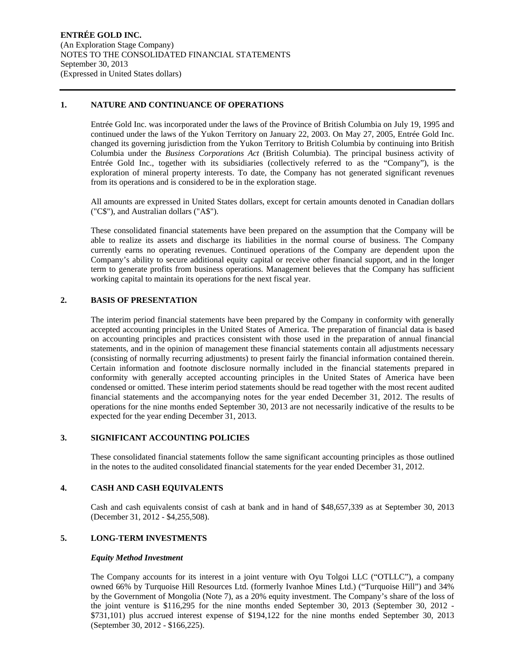#### **1. NATURE AND CONTINUANCE OF OPERATIONS**

Entrée Gold Inc. was incorporated under the laws of the Province of British Columbia on July 19, 1995 and continued under the laws of the Yukon Territory on January 22, 2003. On May 27, 2005, Entrée Gold Inc. changed its governing jurisdiction from the Yukon Territory to British Columbia by continuing into British Columbia under the *Business Corporations Act* (British Columbia). The principal business activity of Entrée Gold Inc., together with its subsidiaries (collectively referred to as the "Company"), is the exploration of mineral property interests. To date, the Company has not generated significant revenues from its operations and is considered to be in the exploration stage.

All amounts are expressed in United States dollars, except for certain amounts denoted in Canadian dollars ("C\$"), and Australian dollars ("A\$").

These consolidated financial statements have been prepared on the assumption that the Company will be able to realize its assets and discharge its liabilities in the normal course of business. The Company currently earns no operating revenues. Continued operations of the Company are dependent upon the Company's ability to secure additional equity capital or receive other financial support, and in the longer term to generate profits from business operations. Management believes that the Company has sufficient working capital to maintain its operations for the next fiscal year.

# **2. BASIS OF PRESENTATION**

The interim period financial statements have been prepared by the Company in conformity with generally accepted accounting principles in the United States of America. The preparation of financial data is based on accounting principles and practices consistent with those used in the preparation of annual financial statements, and in the opinion of management these financial statements contain all adjustments necessary (consisting of normally recurring adjustments) to present fairly the financial information contained therein. Certain information and footnote disclosure normally included in the financial statements prepared in conformity with generally accepted accounting principles in the United States of America have been condensed or omitted. These interim period statements should be read together with the most recent audited financial statements and the accompanying notes for the year ended December 31, 2012. The results of operations for the nine months ended September 30, 2013 are not necessarily indicative of the results to be expected for the year ending December 31, 2013.

#### **3. SIGNIFICANT ACCOUNTING POLICIES**

These consolidated financial statements follow the same significant accounting principles as those outlined in the notes to the audited consolidated financial statements for the year ended December 31, 2012.

#### **4. CASH AND CASH EQUIVALENTS**

Cash and cash equivalents consist of cash at bank and in hand of \$48,657,339 as at September 30, 2013 (December 31, 2012 - \$4,255,508).

## **5. LONG-TERM INVESTMENTS**

#### *Equity Method Investment*

The Company accounts for its interest in a joint venture with Oyu Tolgoi LLC ("OTLLC"), a company owned 66% by Turquoise Hill Resources Ltd. (formerly Ivanhoe Mines Ltd.) ("Turquoise Hill") and 34% by the Government of Mongolia (Note 7), as a 20% equity investment. The Company's share of the loss of the joint venture is \$116,295 for the nine months ended September 30, 2013 (September 30, 2012 - \$731,101) plus accrued interest expense of \$194,122 for the nine months ended September 30, 2013 (September 30, 2012 - \$166,225).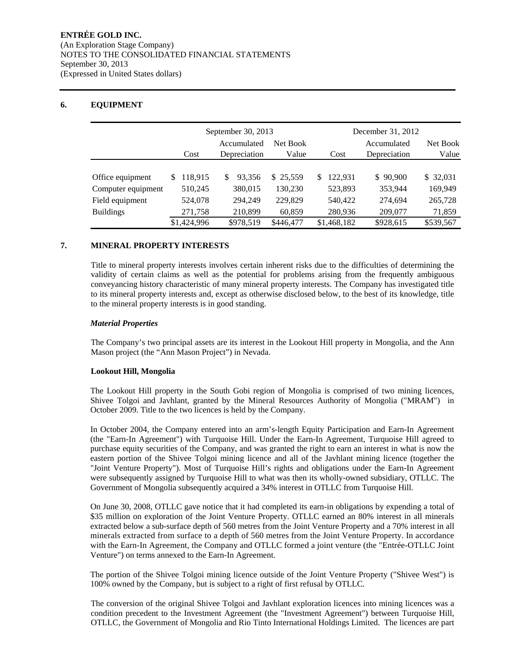# **6. EQUIPMENT**

|                    |              | September 30, 2013      |           | December 31, 2012 |              |           |  |  |
|--------------------|--------------|-------------------------|-----------|-------------------|--------------|-----------|--|--|
|                    |              | Accumulated<br>Net Book |           |                   | Accumulated  | Net Book  |  |  |
|                    | Cost         | Depreciation            | Value     | Cost              | Depreciation | Value     |  |  |
|                    |              |                         |           |                   |              |           |  |  |
| Office equipment   | 118,915<br>S | 93.356                  | \$25,559  | 122.931<br>S.     | \$90,900     | \$ 32,031 |  |  |
| Computer equipment | 510,245      | 380,015                 | 130,230   | 523,893           | 353,944      | 169.949   |  |  |
| Field equipment    | 524,078      | 294,249                 | 229,829   | 540,422           | 274,694      | 265,728   |  |  |
| <b>Buildings</b>   | 271,758      | 210,899                 | 60,859    | 280,936           | 209,077      | 71,859    |  |  |
|                    | \$1,424,996  | \$978,519               | \$446,477 | \$1,468,182       | \$928,615    | \$539,567 |  |  |

## **7. MINERAL PROPERTY INTERESTS**

Title to mineral property interests involves certain inherent risks due to the difficulties of determining the validity of certain claims as well as the potential for problems arising from the frequently ambiguous conveyancing history characteristic of many mineral property interests. The Company has investigated title to its mineral property interests and, except as otherwise disclosed below, to the best of its knowledge, title to the mineral property interests is in good standing.

## *Material Properties*

The Company's two principal assets are its interest in the Lookout Hill property in Mongolia, and the Ann Mason project (the "Ann Mason Project") in Nevada.

#### **Lookout Hill, Mongolia**

The Lookout Hill property in the South Gobi region of Mongolia is comprised of two mining licences, Shivee Tolgoi and Javhlant, granted by the Mineral Resources Authority of Mongolia ("MRAM") in October 2009. Title to the two licences is held by the Company.

In October 2004, the Company entered into an arm's-length Equity Participation and Earn-In Agreement (the "Earn-In Agreement") with Turquoise Hill. Under the Earn-In Agreement, Turquoise Hill agreed to purchase equity securities of the Company, and was granted the right to earn an interest in what is now the eastern portion of the Shivee Tolgoi mining licence and all of the Javhlant mining licence (together the "Joint Venture Property"). Most of Turquoise Hill's rights and obligations under the Earn-In Agreement were subsequently assigned by Turquoise Hill to what was then its wholly-owned subsidiary, OTLLC. The Government of Mongolia subsequently acquired a 34% interest in OTLLC from Turquoise Hill.

On June 30, 2008, OTLLC gave notice that it had completed its earn-in obligations by expending a total of \$35 million on exploration of the Joint Venture Property. OTLLC earned an 80% interest in all minerals extracted below a sub-surface depth of 560 metres from the Joint Venture Property and a 70% interest in all minerals extracted from surface to a depth of 560 metres from the Joint Venture Property. In accordance with the Earn-In Agreement, the Company and OTLLC formed a joint venture (the "Entrée-OTLLC Joint Venture") on terms annexed to the Earn-In Agreement.

The portion of the Shivee Tolgoi mining licence outside of the Joint Venture Property ("Shivee West") is 100% owned by the Company, but is subject to a right of first refusal by OTLLC.

The conversion of the original Shivee Tolgoi and Javhlant exploration licences into mining licences was a condition precedent to the Investment Agreement (the "Investment Agreement") between Turquoise Hill, OTLLC, the Government of Mongolia and Rio Tinto International Holdings Limited. The licences are part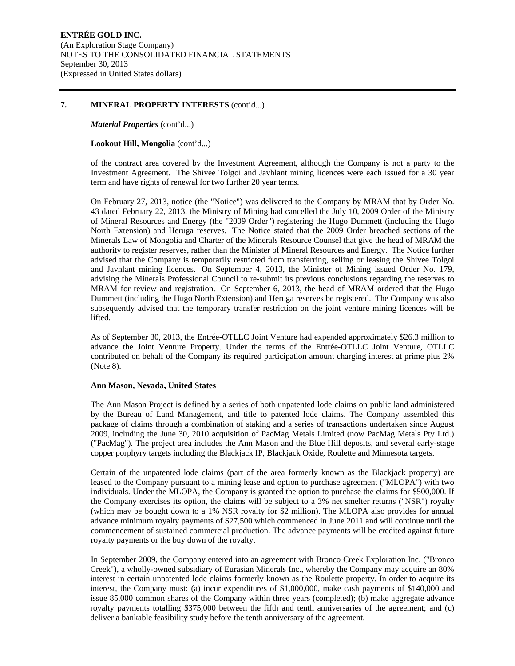#### **7. MINERAL PROPERTY INTERESTS** (cont'd...)

*Material Properties* (cont'd...)

#### **Lookout Hill, Mongolia** (cont'd...)

of the contract area covered by the Investment Agreement, although the Company is not a party to the Investment Agreement. The Shivee Tolgoi and Javhlant mining licences were each issued for a 30 year term and have rights of renewal for two further 20 year terms.

On February 27, 2013, notice (the "Notice") was delivered to the Company by MRAM that by Order No. 43 dated February 22, 2013, the Ministry of Mining had cancelled the July 10, 2009 Order of the Ministry of Mineral Resources and Energy (the "2009 Order") registering the Hugo Dummett (including the Hugo North Extension) and Heruga reserves. The Notice stated that the 2009 Order breached sections of the Minerals Law of Mongolia and Charter of the Minerals Resource Counsel that give the head of MRAM the authority to register reserves, rather than the Minister of Mineral Resources and Energy. The Notice further advised that the Company is temporarily restricted from transferring, selling or leasing the Shivee Tolgoi and Javhlant mining licences. On September 4, 2013, the Minister of Mining issued Order No. 179, advising the Minerals Professional Council to re-submit its previous conclusions regarding the reserves to MRAM for review and registration. On September 6, 2013, the head of MRAM ordered that the Hugo Dummett (including the Hugo North Extension) and Heruga reserves be registered. The Company was also subsequently advised that the temporary transfer restriction on the joint venture mining licences will be lifted.

As of September 30, 2013, the Entrée-OTLLC Joint Venture had expended approximately \$26.3 million to advance the Joint Venture Property. Under the terms of the Entrée-OTLLC Joint Venture, OTLLC contributed on behalf of the Company its required participation amount charging interest at prime plus 2% (Note 8).

#### **Ann Mason, Nevada, United States**

The Ann Mason Project is defined by a series of both unpatented lode claims on public land administered by the Bureau of Land Management, and title to patented lode claims. The Company assembled this package of claims through a combination of staking and a series of transactions undertaken since August 2009, including the June 30, 2010 acquisition of PacMag Metals Limited (now PacMag Metals Pty Ltd.) ("PacMag"). The project area includes the Ann Mason and the Blue Hill deposits, and several early-stage copper porphyry targets including the Blackjack IP, Blackjack Oxide, Roulette and Minnesota targets.

Certain of the unpatented lode claims (part of the area formerly known as the Blackjack property) are leased to the Company pursuant to a mining lease and option to purchase agreement ("MLOPA") with two individuals. Under the MLOPA, the Company is granted the option to purchase the claims for \$500,000. If the Company exercises its option, the claims will be subject to a 3% net smelter returns ("NSR") royalty (which may be bought down to a 1% NSR royalty for \$2 million). The MLOPA also provides for annual advance minimum royalty payments of \$27,500 which commenced in June 2011 and will continue until the commencement of sustained commercial production. The advance payments will be credited against future royalty payments or the buy down of the royalty.

In September 2009, the Company entered into an agreement with Bronco Creek Exploration Inc. ("Bronco Creek"), a wholly-owned subsidiary of Eurasian Minerals Inc., whereby the Company may acquire an 80% interest in certain unpatented lode claims formerly known as the Roulette property. In order to acquire its interest, the Company must: (a) incur expenditures of \$1,000,000, make cash payments of \$140,000 and issue 85,000 common shares of the Company within three years (completed); (b) make aggregate advance royalty payments totalling \$375,000 between the fifth and tenth anniversaries of the agreement; and (c) deliver a bankable feasibility study before the tenth anniversary of the agreement.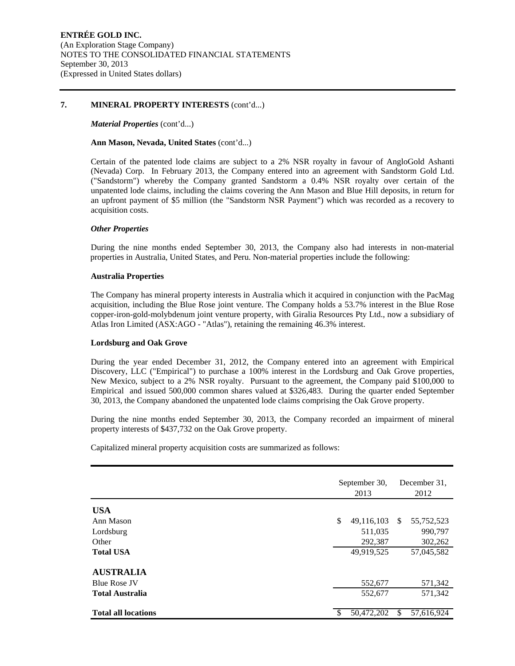#### **7. MINERAL PROPERTY INTERESTS** (cont'd...)

#### *Material Properties* (cont'd...)

#### **Ann Mason, Nevada, United States** (cont'd...)

Certain of the patented lode claims are subject to a 2% NSR royalty in favour of AngloGold Ashanti (Nevada) Corp. In February 2013, the Company entered into an agreement with Sandstorm Gold Ltd. ("Sandstorm") whereby the Company granted Sandstorm a 0.4% NSR royalty over certain of the unpatented lode claims, including the claims covering the Ann Mason and Blue Hill deposits, in return for an upfront payment of \$5 million (the "Sandstorm NSR Payment") which was recorded as a recovery to acquisition costs.

## *Other Properties*

During the nine months ended September 30, 2013, the Company also had interests in non-material properties in Australia, United States, and Peru. Non-material properties include the following:

#### **Australia Properties**

The Company has mineral property interests in Australia which it acquired in conjunction with the PacMag acquisition, including the Blue Rose joint venture. The Company holds a 53.7% interest in the Blue Rose copper-iron-gold-molybdenum joint venture property, with Giralia Resources Pty Ltd., now a subsidiary of Atlas Iron Limited (ASX:AGO - "Atlas"), retaining the remaining 46.3% interest.

#### **Lordsburg and Oak Grove**

During the year ended December 31, 2012, the Company entered into an agreement with Empirical Discovery, LLC ("Empirical") to purchase a 100% interest in the Lordsburg and Oak Grove properties, New Mexico, subject to a 2% NSR royalty. Pursuant to the agreement, the Company paid \$100,000 to Empirical and issued 500,000 common shares valued at \$326,483. During the quarter ended September 30, 2013, the Company abandoned the unpatented lode claims comprising the Oak Grove property.

During the nine months ended September 30, 2013, the Company recorded an impairment of mineral property interests of \$437,732 on the Oak Grove property.

Capitalized mineral property acquisition costs are summarized as follows:

|                            | September 30,<br>2013 |               | December 31.<br>2012 |
|----------------------------|-----------------------|---------------|----------------------|
| <b>USA</b>                 |                       |               |                      |
| Ann Mason                  | \$<br>49,116,103      | <sup>\$</sup> | 55,752,523           |
| Lordsburg                  | 511,035               |               | 990,797              |
| Other                      | 292,387               |               | 302,262              |
| <b>Total USA</b>           | 49,919,525            |               | 57,045,582           |
| <b>AUSTRALIA</b>           |                       |               |                      |
| <b>Blue Rose JV</b>        | 552,677               |               | 571,342              |
| <b>Total Australia</b>     | 552,677               |               | 571,342              |
| <b>Total all locations</b> | 50,472,202            | \$            | 57,616,924           |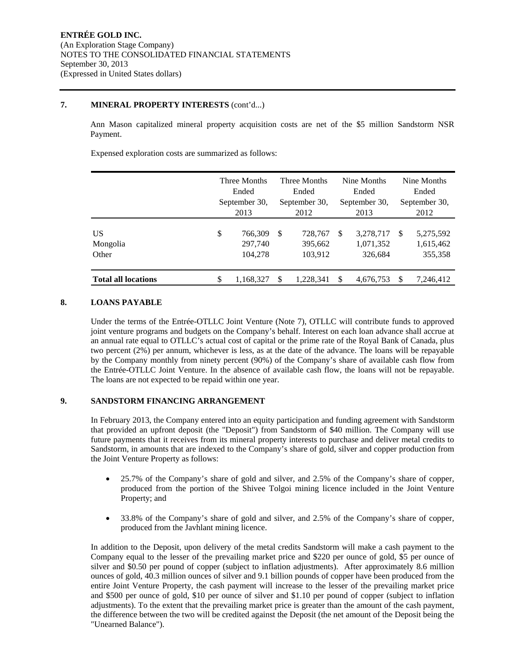## **7. MINERAL PROPERTY INTERESTS** (cont'd...)

Ann Mason capitalized mineral property acquisition costs are net of the \$5 million Sandstorm NSR Payment.

Expensed exploration costs are summarized as follows:

|                            | Three Months<br>Ended<br>September 30,<br>2013 |                               |                                     | Three Months<br>Ended<br>September 30,<br>2012 |   | Nine Months<br>Ended<br>September 30,<br>2013 | Nine Months<br>Ended<br>September 30,<br>2012 |                                   |  |
|----------------------------|------------------------------------------------|-------------------------------|-------------------------------------|------------------------------------------------|---|-----------------------------------------------|-----------------------------------------------|-----------------------------------|--|
| US<br>Mongolia<br>Other    | \$                                             | 766,309<br>297,740<br>104,278 | -S<br>728,767<br>395,662<br>103,912 |                                                | S | 3,278,717<br>1,071,352<br>326,684             | <b>S</b>                                      | 5,275,592<br>1,615,462<br>355,358 |  |
| <b>Total all locations</b> | \$                                             | 1,168,327                     |                                     | \$<br>1.228.341                                |   | \$<br>4,676,753                               |                                               | 7,246,412                         |  |

# **8. LOANS PAYABLE**

Under the terms of the Entrée-OTLLC Joint Venture (Note 7), OTLLC will contribute funds to approved joint venture programs and budgets on the Company's behalf. Interest on each loan advance shall accrue at an annual rate equal to OTLLC's actual cost of capital or the prime rate of the Royal Bank of Canada, plus two percent (2%) per annum, whichever is less, as at the date of the advance. The loans will be repayable by the Company monthly from ninety percent (90%) of the Company's share of available cash flow from the Entrée-OTLLC Joint Venture. In the absence of available cash flow, the loans will not be repayable. The loans are not expected to be repaid within one year.

## **9. SANDSTORM FINANCING ARRANGEMENT**

In February 2013, the Company entered into an equity participation and funding agreement with Sandstorm that provided an upfront deposit (the "Deposit") from Sandstorm of \$40 million. The Company will use future payments that it receives from its mineral property interests to purchase and deliver metal credits to Sandstorm, in amounts that are indexed to the Company's share of gold, silver and copper production from the Joint Venture Property as follows:

- 25.7% of the Company's share of gold and silver, and 2.5% of the Company's share of copper, produced from the portion of the Shivee Tolgoi mining licence included in the Joint Venture Property; and
- 33.8% of the Company's share of gold and silver, and 2.5% of the Company's share of copper, produced from the Javhlant mining licence.

In addition to the Deposit, upon delivery of the metal credits Sandstorm will make a cash payment to the Company equal to the lesser of the prevailing market price and \$220 per ounce of gold, \$5 per ounce of silver and \$0.50 per pound of copper (subject to inflation adjustments). After approximately 8.6 million ounces of gold, 40.3 million ounces of silver and 9.1 billion pounds of copper have been produced from the entire Joint Venture Property, the cash payment will increase to the lesser of the prevailing market price and \$500 per ounce of gold, \$10 per ounce of silver and \$1.10 per pound of copper (subject to inflation adjustments). To the extent that the prevailing market price is greater than the amount of the cash payment, the difference between the two will be credited against the Deposit (the net amount of the Deposit being the "Unearned Balance").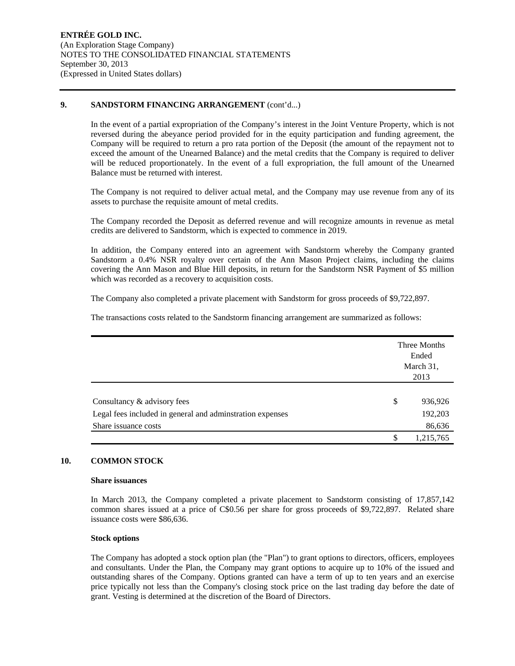## 9. SANDSTORM FINANCING ARRANGEMENT (cont'd...)

In the event of a partial expropriation of the Company's interest in the Joint Venture Property, which is not reversed during the abeyance period provided for in the equity participation and funding agreement, the Company will be required to return a pro rata portion of the Deposit (the amount of the repayment not to exceed the amount of the Unearned Balance) and the metal credits that the Company is required to deliver will be reduced proportionately. In the event of a full expropriation, the full amount of the Unearned Balance must be returned with interest.

The Company is not required to deliver actual metal, and the Company may use revenue from any of its assets to purchase the requisite amount of metal credits.

The Company recorded the Deposit as deferred revenue and will recognize amounts in revenue as metal credits are delivered to Sandstorm, which is expected to commence in 2019.

In addition, the Company entered into an agreement with Sandstorm whereby the Company granted Sandstorm a 0.4% NSR royalty over certain of the Ann Mason Project claims, including the claims covering the Ann Mason and Blue Hill deposits, in return for the Sandstorm NSR Payment of \$5 million which was recorded as a recovery to acquisition costs.

The Company also completed a private placement with Sandstorm for gross proceeds of \$9,722,897.

The transactions costs related to the Sandstorm financing arrangement are summarized as follows:

|                                                           | Three Months<br>Ended<br>March 31,<br>2013 |
|-----------------------------------------------------------|--------------------------------------------|
| Consultancy & advisory fees                               | \$<br>936,926                              |
| Legal fees included in general and adminstration expenses | 192,203                                    |
| Share issuance costs                                      | 86,636                                     |
|                                                           | \$<br>1,215,765                            |

## **10. COMMON STOCK**

### **Share issuances**

In March 2013, the Company completed a private placement to Sandstorm consisting of 17,857,142 common shares issued at a price of C\$0.56 per share for gross proceeds of \$9,722,897. Related share issuance costs were \$86,636.

#### **Stock options**

The Company has adopted a stock option plan (the "Plan") to grant options to directors, officers, employees and consultants. Under the Plan, the Company may grant options to acquire up to 10% of the issued and outstanding shares of the Company. Options granted can have a term of up to ten years and an exercise price typically not less than the Company's closing stock price on the last trading day before the date of grant. Vesting is determined at the discretion of the Board of Directors.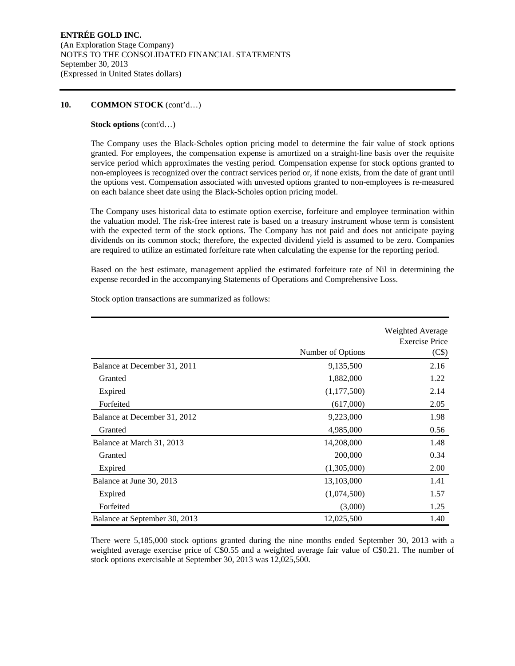## **10. COMMON STOCK** (cont'd…)

## **Stock options** (cont'd…)

The Company uses the Black-Scholes option pricing model to determine the fair value of stock options granted. For employees, the compensation expense is amortized on a straight-line basis over the requisite service period which approximates the vesting period. Compensation expense for stock options granted to non-employees is recognized over the contract services period or, if none exists, from the date of grant until the options vest. Compensation associated with unvested options granted to non-employees is re-measured on each balance sheet date using the Black-Scholes option pricing model.

The Company uses historical data to estimate option exercise, forfeiture and employee termination within the valuation model. The risk-free interest rate is based on a treasury instrument whose term is consistent with the expected term of the stock options. The Company has not paid and does not anticipate paying dividends on its common stock; therefore, the expected dividend yield is assumed to be zero. Companies are required to utilize an estimated forfeiture rate when calculating the expense for the reporting period.

Based on the best estimate, management applied the estimated forfeiture rate of Nil in determining the expense recorded in the accompanying Statements of Operations and Comprehensive Loss.

|                               | Number of Options | Weighted Average<br><b>Exercise Price</b><br>(C <sub>s</sub> ) |
|-------------------------------|-------------------|----------------------------------------------------------------|
| Balance at December 31, 2011  | 9,135,500         | 2.16                                                           |
|                               |                   |                                                                |
| Granted                       | 1,882,000         | 1.22                                                           |
| Expired                       | (1,177,500)       | 2.14                                                           |
| Forfeited                     | (617,000)         | 2.05                                                           |
| Balance at December 31, 2012  | 9,223,000         | 1.98                                                           |
| Granted                       | 4,985,000         | 0.56                                                           |
| Balance at March 31, 2013     | 14,208,000        | 1.48                                                           |
| Granted                       | 200,000           | 0.34                                                           |
| Expired                       | (1,305,000)       | 2.00                                                           |
| Balance at June 30, 2013      | 13,103,000        | 1.41                                                           |
| Expired                       | (1,074,500)       | 1.57                                                           |
| Forfeited                     | (3,000)           | 1.25                                                           |
| Balance at September 30, 2013 | 12,025,500        | 1.40                                                           |

Stock option transactions are summarized as follows:

There were 5,185,000 stock options granted during the nine months ended September 30, 2013 with a weighted average exercise price of C\$0.55 and a weighted average fair value of C\$0.21. The number of stock options exercisable at September 30, 2013 was 12,025,500.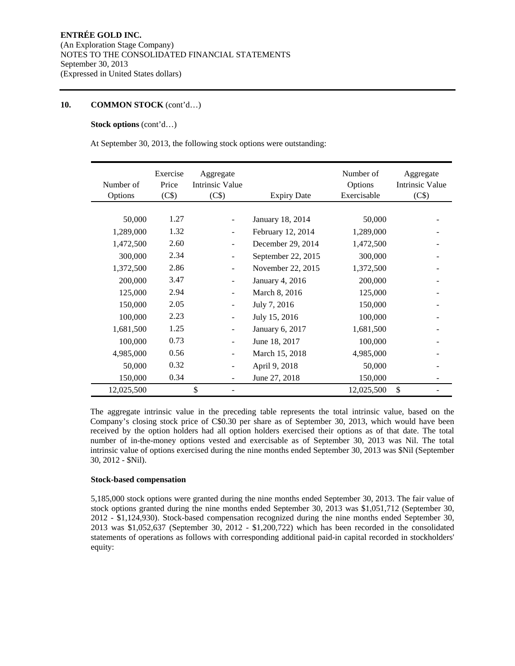## **10. COMMON STOCK** (cont'd…)

## **Stock options** (cont'd…)

At September 30, 2013, the following stock options were outstanding:

| Number of<br>Options | Exercise<br>Price<br>(C\$) | Aggregate<br><b>Intrinsic Value</b><br>(C\$) | <b>Expiry Date</b>     | Number of<br>Options<br>Exercisable | Aggregate<br>Intrinsic Value<br>(C\$) |
|----------------------|----------------------------|----------------------------------------------|------------------------|-------------------------------------|---------------------------------------|
|                      |                            |                                              |                        |                                     |                                       |
| 50,000               | 1.27                       | $\overline{\phantom{0}}$                     | January 18, 2014       | 50,000                              |                                       |
| 1,289,000            | 1.32                       | ÷                                            | February 12, 2014      | 1,289,000                           |                                       |
| 1,472,500            | 2.60                       | $\overline{\phantom{m}}$                     | December 29, 2014      | 1,472,500                           |                                       |
| 300,000              | 2.34                       | -                                            | September 22, 2015     | 300,000                             |                                       |
| 1,372,500            | 2.86                       |                                              | November 22, 2015      | 1,372,500                           |                                       |
| 200,000              | 3.47                       | $\overline{\phantom{0}}$                     | <b>January 4, 2016</b> | 200,000                             |                                       |
| 125,000              | 2.94                       |                                              | March 8, 2016          | 125,000                             |                                       |
| 150,000              | 2.05                       |                                              | July 7, 2016           | 150,000                             |                                       |
| 100,000              | 2.23                       |                                              | July 15, 2016          | 100,000                             |                                       |
| 1,681,500            | 1.25                       |                                              | January 6, 2017        | 1,681,500                           |                                       |
| 100,000              | 0.73                       | $\overline{\phantom{0}}$                     | June 18, 2017          | 100,000                             |                                       |
| 4,985,000            | 0.56                       | $\overline{\phantom{0}}$                     | March 15, 2018         | 4,985,000                           |                                       |
| 50,000               | 0.32                       |                                              | April 9, 2018          | 50,000                              |                                       |
| 150,000              | 0.34                       |                                              | June 27, 2018          | 150,000                             |                                       |
| 12,025,500           |                            | \$                                           |                        | 12,025,500                          | \$                                    |

The aggregate intrinsic value in the preceding table represents the total intrinsic value, based on the Company's closing stock price of C\$0.30 per share as of September 30, 2013, which would have been received by the option holders had all option holders exercised their options as of that date. The total number of in-the-money options vested and exercisable as of September 30, 2013 was Nil. The total intrinsic value of options exercised during the nine months ended September 30, 2013 was \$Nil (September 30, 2012 - \$Nil).

#### **Stock-based compensation**

5,185,000 stock options were granted during the nine months ended September 30, 2013. The fair value of stock options granted during the nine months ended September 30, 2013 was \$1,051,712 (September 30, 2012 - \$1,124,930). Stock-based compensation recognized during the nine months ended September 30, 2013 was \$1,052,637 (September 30, 2012 - \$1,200,722) which has been recorded in the consolidated statements of operations as follows with corresponding additional paid-in capital recorded in stockholders' equity: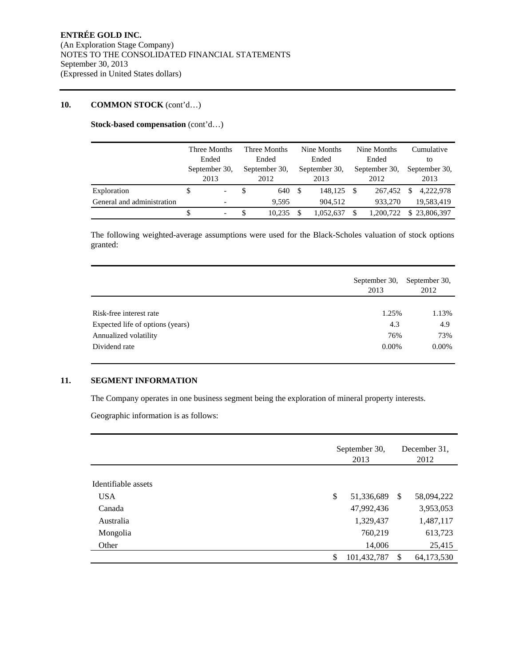# **10. COMMON STOCK** (cont'd…)

**Stock-based compensation** (cont'd…)

|                            | Three Months<br>Ended |                          | Three Months<br>Ended |               | Nine Months<br>Ended |               | Nine Months<br>Ended |               |    | Cumulative<br>to |  |
|----------------------------|-----------------------|--------------------------|-----------------------|---------------|----------------------|---------------|----------------------|---------------|----|------------------|--|
|                            |                       |                          |                       |               |                      |               |                      |               |    |                  |  |
|                            | September 30,         |                          | September 30,         | September 30. |                      | September 30, |                      | September 30, |    |                  |  |
|                            |                       | 2013                     |                       | 2012          |                      | 2013          |                      | 2012          |    | 2013             |  |
| Exploration                | \$                    | $\overline{\phantom{0}}$ |                       | 640           | - \$                 | 148,125       | - \$                 | 267,452       | \$ | 4,222,978        |  |
| General and administration |                       |                          |                       | 9.595         |                      | 904.512       |                      | 933,270       |    | 19,583,419       |  |
|                            |                       | $\overline{\phantom{0}}$ | \$                    | 10.235        |                      | 1.052.637     | \$                   | 1.200.722     |    | \$23,806,397     |  |

The following weighted-average assumptions were used for the Black-Scholes valuation of stock options granted:

|                                  | September 30,<br>2013 | September 30,<br>2012 |
|----------------------------------|-----------------------|-----------------------|
| Risk-free interest rate          | 1.25%                 | 1.13%                 |
| Expected life of options (years) | 4.3                   | 4.9                   |
| Annualized volatility            | 76%                   | 73%                   |
| Dividend rate                    | $0.00\%$              | $0.00\%$              |

## **11. SEGMENT INFORMATION**

The Company operates in one business segment being the exploration of mineral property interests.

Geographic information is as follows:

|                     | September 30,<br>2013 |               | December 31.<br>2012 |  |  |
|---------------------|-----------------------|---------------|----------------------|--|--|
| Identifiable assets |                       |               |                      |  |  |
| <b>USA</b>          | \$<br>51,336,689      | <sup>\$</sup> | 58,094,222           |  |  |
| Canada              | 47,992,436            |               | 3,953,053            |  |  |
| Australia           | 1,329,437             |               | 1,487,117            |  |  |
| Mongolia            | 760,219               |               | 613,723              |  |  |
| Other               | 14,006                |               | 25,415               |  |  |
|                     | \$<br>101,432,787     | S             | 64,173,530           |  |  |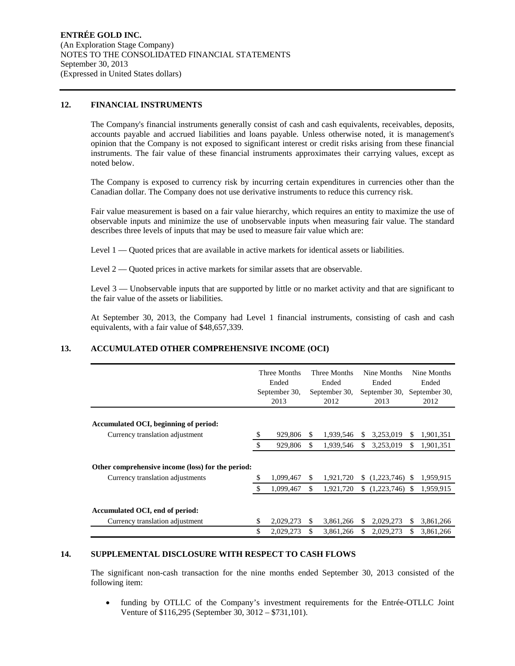## **12. FINANCIAL INSTRUMENTS**

The Company's financial instruments generally consist of cash and cash equivalents, receivables, deposits, accounts payable and accrued liabilities and loans payable. Unless otherwise noted, it is management's opinion that the Company is not exposed to significant interest or credit risks arising from these financial instruments. The fair value of these financial instruments approximates their carrying values, except as noted below.

The Company is exposed to currency risk by incurring certain expenditures in currencies other than the Canadian dollar. The Company does not use derivative instruments to reduce this currency risk.

Fair value measurement is based on a fair value hierarchy, which requires an entity to maximize the use of observable inputs and minimize the use of unobservable inputs when measuring fair value. The standard describes three levels of inputs that may be used to measure fair value which are:

Level 1 — Quoted prices that are available in active markets for identical assets or liabilities.

Level  $2 -$  Quoted prices in active markets for similar assets that are observable.

Level 3 — Unobservable inputs that are supported by little or no market activity and that are significant to the fair value of the assets or liabilities.

At September 30, 2013, the Company had Level 1 financial instruments, consisting of cash and cash equivalents, with a fair value of \$48,657,339.

## **13. ACCUMULATED OTHER COMPREHENSIVE INCOME (OCI)**

|                                                                                       | <b>Three Months</b><br>Ended<br>September 30,<br>2013 |     | Three Months<br>Ended<br>September 30,<br>2012 |     | Nine Months<br>Ended<br>September 30,<br>2013 |     | Nine Months<br>Ended<br>September 30,<br>2012 |
|---------------------------------------------------------------------------------------|-------------------------------------------------------|-----|------------------------------------------------|-----|-----------------------------------------------|-----|-----------------------------------------------|
| Accumulated OCI, beginning of period:                                                 |                                                       |     |                                                |     |                                               |     |                                               |
| Currency translation adjustment                                                       | \$<br>929,806                                         | \$. | 1,939,546                                      | S   | 3,253,019                                     | S.  | 1,901,351                                     |
|                                                                                       | \$<br>929,806                                         | \$  | 1,939,546                                      | S   | 3,253,019                                     | \$  | 1,901,351                                     |
| Other comprehensive income (loss) for the period:<br>Currency translation adjustments | 1,099,467                                             | \$. | 1,921,720                                      | \$. | (1,223,746)                                   | -SS | 1,959,915                                     |
|                                                                                       | \$<br>1,099,467                                       | S.  | 1,921,720                                      | \$  | (1,223,746)                                   | -S  | 1,959,915                                     |
| Accumulated OCI, end of period:<br>Currency translation adjustment                    | \$<br>2,029,273                                       | S   | 3,861,266                                      | S   | 2,029,273                                     | S.  | 3,861,266                                     |
|                                                                                       | \$<br>2,029,273                                       | \$  | 3,861,266                                      | S   | 2,029,273                                     | S.  | 3,861,266                                     |

#### **14. SUPPLEMENTAL DISCLOSURE WITH RESPECT TO CASH FLOWS**

The significant non-cash transaction for the nine months ended September 30, 2013 consisted of the following item:

 funding by OTLLC of the Company's investment requirements for the Entrée-OTLLC Joint Venture of \$116,295 (September 30, 3012 – \$731,101).